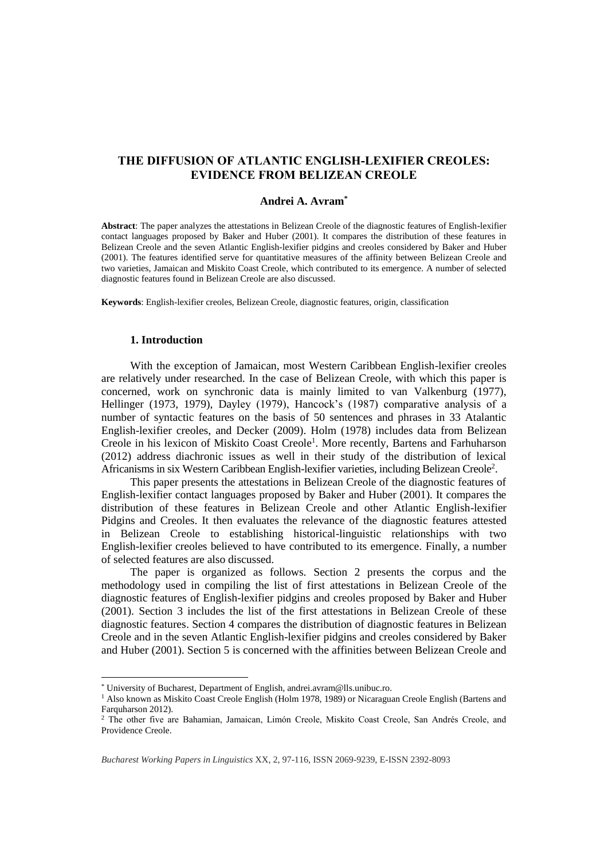# **THE DIFFUSION OF ATLANTIC ENGLISH-LEXIFIER CREOLES: EVIDENCE FROM BELIZEAN CREOLE**

### **Andrei A. Avram\***

**Abstract**: The paper analyzes the attestations in Belizean Creole of the diagnostic features of English-lexifier contact languages proposed by Baker and Huber (2001). It compares the distribution of these features in Belizean Creole and the seven Atlantic English-lexifier pidgins and creoles considered by Baker and Huber (2001). The features identified serve for quantitative measures of the affinity between Belizean Creole and two varieties, Jamaican and Miskito Coast Creole, which contributed to its emergence. A number of selected diagnostic features found in Belizean Creole are also discussed.

**Keywords**: English-lexifier creoles, Belizean Creole, diagnostic features, origin, classification

## **1. Introduction**

 $\overline{a}$ 

With the exception of Jamaican, most Western Caribbean English-lexifier creoles are relatively under researched. In the case of Belizean Creole, with which this paper is concerned, work on synchronic data is mainly limited to van Valkenburg (1977), Hellinger (1973, 1979), Dayley (1979), Hancock's (1987) comparative analysis of a number of syntactic features on the basis of 50 sentences and phrases in 33 Atalantic English-lexifier creoles, and Decker (2009). Holm (1978) includes data from Belizean Creole in his lexicon of Miskito Coast Creole<sup>1</sup>. More recently, Bartens and Farhuharson (2012) address diachronic issues as well in their study of the distribution of lexical Africanisms in six Western Caribbean English-lexifier varieties, including Belizean Creole<sup>2</sup>.

This paper presents the attestations in Belizean Creole of the diagnostic features of English-lexifier contact languages proposed by Baker and Huber (2001). It compares the distribution of these features in Belizean Creole and other Atlantic English-lexifier Pidgins and Creoles. It then evaluates the relevance of the diagnostic features attested in Belizean Creole to establishing historical-linguistic relationships with two English-lexifier creoles believed to have contributed to its emergence. Finally, a number of selected features are also discussed.

The paper is organized as follows. Section 2 presents the corpus and the methodology used in compiling the list of first attestations in Belizean Creole of the diagnostic features of English-lexifier pidgins and creoles proposed by Baker and Huber (2001). Section 3 includes the list of the first attestations in Belizean Creole of these diagnostic features. Section 4 compares the distribution of diagnostic features in Belizean Creole and in the seven Atlantic English-lexifier pidgins and creoles considered by Baker and Huber (2001). Section 5 is concerned with the affinities between Belizean Creole and

<sup>\*</sup> University of Bucharest, Department of English, andrei.avram@lls.unibuc.ro.

<sup>1</sup> Also known as Miskito Coast Creole English (Holm 1978, 1989) or Nicaraguan Creole English (Bartens and Farquharson 2012).

<sup>2</sup> The other five are Bahamian, Jamaican, Limón Creole, Miskito Coast Creole, San Andrés Creole, and Providence Creole.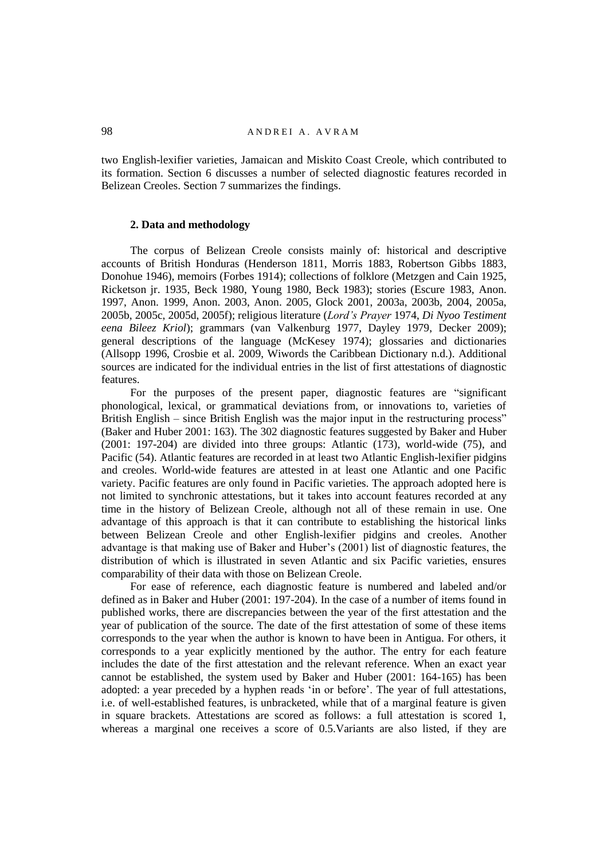two English-lexifier varieties, Jamaican and Miskito Coast Creole, which contributed to its formation. Section 6 discusses a number of selected diagnostic features recorded in Belizean Creoles. Section 7 summarizes the findings.

## **2. Data and methodology**

The corpus of Belizean Creole consists mainly of: historical and descriptive accounts of British Honduras (Henderson 1811, Morris 1883, Robertson Gibbs 1883, Donohue 1946), memoirs (Forbes 1914); collections of folklore (Metzgen and Cain 1925, Ricketson jr. 1935, Beck 1980, Young 1980, Beck 1983); stories (Escure 1983, Anon. 1997, Anon. 1999, Anon. 2003, Anon. 2005, Glock 2001, 2003a, 2003b, 2004, 2005a, 2005b, 2005c, 2005d, 2005f); religious literature (*Lord's Prayer* 1974, *Di Nyoo Testiment eena Bileez Kriol*); grammars (van Valkenburg 1977, Dayley 1979, Decker 2009); general descriptions of the language (McKesey 1974); glossaries and dictionaries (Allsopp 1996, Crosbie et al. 2009, Wiwords the Caribbean Dictionary n.d.). Additional sources are indicated for the individual entries in the list of first attestations of diagnostic features.

For the purposes of the present paper, diagnostic features are "significant phonological, lexical, or grammatical deviations from, or innovations to, varieties of British English – since British English was the major input in the restructuring process" (Baker and Huber 2001: 163). The 302 diagnostic features suggested by Baker and Huber (2001: 197-204) are divided into three groups: Atlantic (173), world-wide (75), and Pacific (54). Atlantic features are recorded in at least two Atlantic English-lexifier pidgins and creoles. World-wide features are attested in at least one Atlantic and one Pacific variety. Pacific features are only found in Pacific varieties. The approach adopted here is not limited to synchronic attestations, but it takes into account features recorded at any time in the history of Belizean Creole, although not all of these remain in use. One advantage of this approach is that it can contribute to establishing the historical links between Belizean Creole and other English-lexifier pidgins and creoles. Another advantage is that making use of Baker and Huber's (2001) list of diagnostic features, the distribution of which is illustrated in seven Atlantic and six Pacific varieties, ensures comparability of their data with those on Belizean Creole.

For ease of reference, each diagnostic feature is numbered and labeled and/or defined as in Baker and Huber (2001: 197-204). In the case of a number of items found in published works, there are discrepancies between the year of the first attestation and the year of publication of the source. The date of the first attestation of some of these items corresponds to the year when the author is known to have been in Antigua. For others, it corresponds to a year explicitly mentioned by the author. The entry for each feature includes the date of the first attestation and the relevant reference. When an exact year cannot be established, the system used by Baker and Huber (2001: 164-165) has been adopted: a year preceded by a hyphen reads 'in or before'. The year of full attestations, i.e. of well-established features, is unbracketed, while that of a marginal feature is given in square brackets. Attestations are scored as follows: a full attestation is scored 1, whereas a marginal one receives a score of 0.5.Variants are also listed, if they are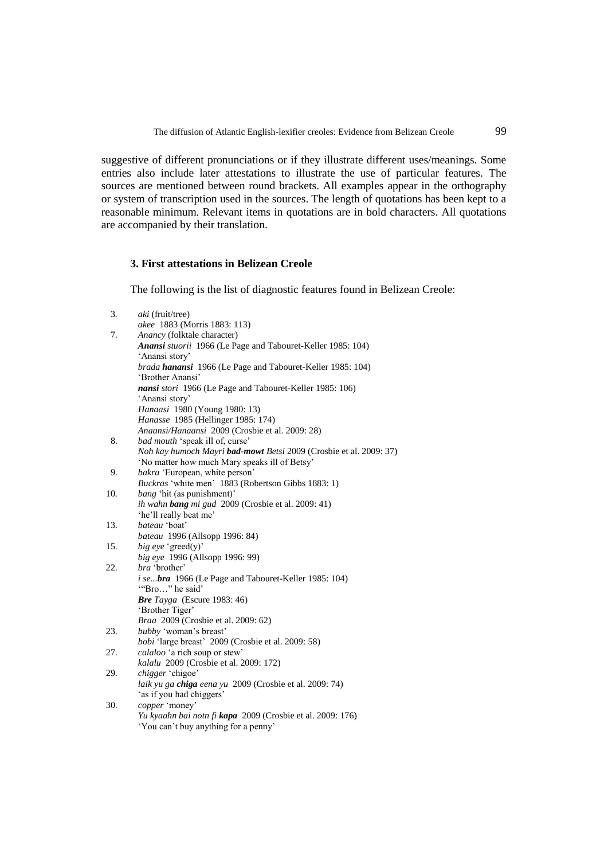suggestive of different pronunciations or if they illustrate different uses/meanings. Some entries also include later attestations to illustrate the use of particular features. The sources are mentioned between round brackets. All examples appear in the orthography or system of transcription used in the sources. The length of quotations has been kept to a reasonable minimum. Relevant items in quotations are in bold characters. All quotations are accompanied by their translation.

# **3. First attestations in Belizean Creole**

The following is the list of diagnostic features found in Belizean Creole:

| 3.  | aki (fruit/tree)                                                             |
|-----|------------------------------------------------------------------------------|
|     | akee 1883 (Morris 1883: 113)                                                 |
| 7.  | Anancy (folktale character)                                                  |
|     | Anansi stuorii 1966 (Le Page and Tabouret-Keller 1985: 104)                  |
|     | 'Anansi story'<br>brada hanansi 1966 (Le Page and Tabouret-Keller 1985: 104) |
|     | 'Brother Anansi'                                                             |
|     | nansi stori 1966 (Le Page and Tabouret-Keller 1985: 106)                     |
|     | 'Anansi story'                                                               |
|     | Hanaasi 1980 (Young 1980: 13)                                                |
|     | Hanasse 1985 (Hellinger 1985: 174)                                           |
|     | Anaansi/Hanaansi 2009 (Crosbie et al. 2009: 28)                              |
| 8.  | bad mouth 'speak ill of, curse'                                              |
|     | Noh kay humoch Mayri bad-mowt Betsi 2009 (Crosbie et al. 2009: 37)           |
|     | 'No matter how much Mary speaks ill of Betsy'                                |
| 9.  | bakra 'European, white person'                                               |
|     | Buckras 'white men' 1883 (Robertson Gibbs 1883: 1)                           |
| 10. | <i>bang</i> 'hit (as punishment)'                                            |
|     | ih wahn bang mi gud 2009 (Crosbie et al. 2009: 41)                           |
|     | 'he'll really beat me'                                                       |
| 13. | bateau 'boat'                                                                |
|     | bateau 1996 (Allsopp 1996: 84)                                               |
| 15. | big eye 'greed(y)'                                                           |
|     | big eye 1996 (Allsopp 1996: 99)                                              |
| 22. | <i>bra</i> 'brother'                                                         |
|     | <i>i sebra</i> 1966 (Le Page and Tabouret-Keller 1985: 104)                  |
|     | "Bro" he said"                                                               |
|     | Bre Tayga (Escure 1983: 46)                                                  |
|     | 'Brother Tiger'                                                              |
|     | Braa 2009 (Crosbie et al. 2009: 62)                                          |
| 23. | bubby 'woman's breast'                                                       |
|     | bobi 'large breast' 2009 (Crosbie et al. 2009: 58)                           |
| 27. | calaloo 'a rich soup or stew'<br>kalalu 2009 (Crosbie et al. 2009: 172)      |
| 29. | chigger 'chigoe'                                                             |
|     | laik yu ga chiga eena yu 2009 (Crosbie et al. 2009: 74)                      |
|     | 'as if you had chiggers'                                                     |
| 30. | copper 'money'                                                               |
|     | Yu kyaahn bai notn fi kapa 2009 (Crosbie et al. 2009: 176)                   |
|     | 'You can't buy anything for a penny'                                         |
|     |                                                                              |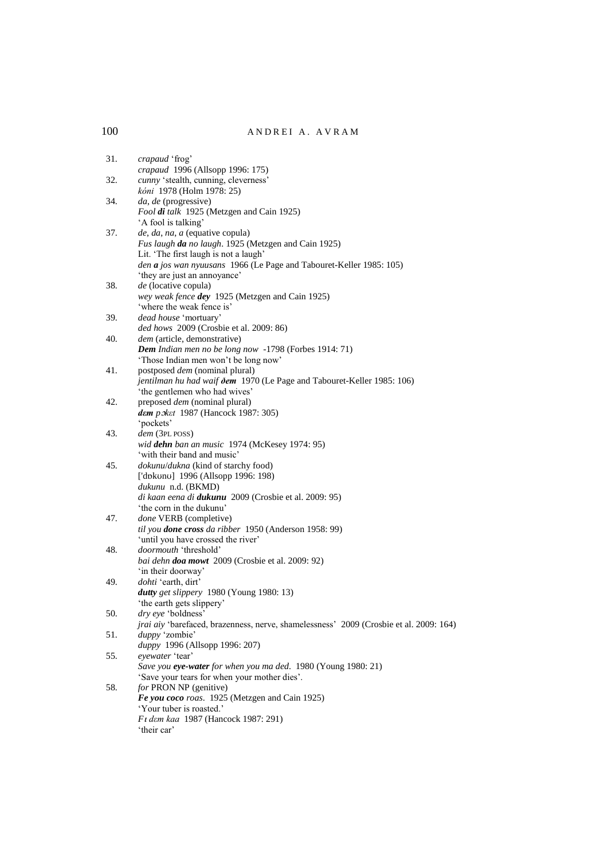| 31. | crapaud 'frog'<br>crapaud 1996 (Allsopp 1996: 175)                                          |
|-----|---------------------------------------------------------------------------------------------|
| 32. | cunny 'stealth, cunning, cleverness'<br>kóni 1978 (Holm 1978: 25)                           |
| 34. | da, de (progressive)                                                                        |
|     | Fool di talk 1925 (Metzgen and Cain 1925)                                                   |
|     | 'A fool is talking'                                                                         |
| 37. | de, da, na, a (equative copula)                                                             |
|     | Fus laugh da no laugh. 1925 (Metzgen and Cain 1925)                                         |
|     | Lit. 'The first laugh is not a laugh'                                                       |
|     | den a jos wan nyuusans 1966 (Le Page and Tabouret-Keller 1985: 105)                         |
|     | 'they are just an annoyance'                                                                |
| 38. | de (locative copula)                                                                        |
|     | wey weak fence dey 1925 (Metzgen and Cain 1925)                                             |
|     | 'where the weak fence is'                                                                   |
| 39. | dead house 'mortuary'                                                                       |
|     | ded hows 2009 (Crosbie et al. 2009: 86)                                                     |
| 40. | dem (article, demonstrative)<br>Dem Indian men no be long now -1798 (Forbes 1914: 71)       |
|     |                                                                                             |
| 41. | 'Those Indian men won't be long now'<br>postposed <i>dem</i> (nominal plural)               |
|     | jentilman hu had waif ðem 1970 (Le Page and Tabouret-Keller 1985: 106)                      |
|     | 'the gentlemen who had wives'                                                               |
| 42. | preposed <i>dem</i> (nominal plural)                                                        |
|     | dem poket 1987 (Hancock 1987: 305)                                                          |
|     | 'pockets'                                                                                   |
| 43. | dem (3PL POSS)                                                                              |
|     | wid dehn ban an music 1974 (McKesey 1974: 95)                                               |
|     | 'with their band and music'                                                                 |
| 45. | <i>dokunu/dukna</i> (kind of starchy food)                                                  |
|     | ['dɒkʊnʊ] 1996 (Allsopp 1996: 198)                                                          |
|     | dukunu n.d. (BKMD)                                                                          |
|     | di kaan eena di dukunu 2009 (Crosbie et al. 2009: 95)                                       |
|     | 'the corn in the dukunu'                                                                    |
| 47. | done VERB (completive)                                                                      |
|     | til you done cross da ribber 1950 (Anderson 1958: 99)<br>'until you have crossed the river' |
| 48. | doormouth 'threshold'                                                                       |
|     | bai dehn doa mowt 2009 (Crosbie et al. 2009: 92)                                            |
|     | 'in their doorway'                                                                          |
| 49. | dohti 'earth, dirt'                                                                         |
|     | dutty get slippery 1980 (Young 1980: 13)                                                    |
|     | 'the earth gets slippery'                                                                   |
| 50. | <i>dry eye</i> 'boldness'                                                                   |
|     | jrai aiy 'barefaced, brazenness, nerve, shamelessness' 2009 (Crosbie et al. 2009: 164)      |
| 51. | duppy 'zombie'                                                                              |
|     | duppy 1996 (Allsopp 1996: 207)                                                              |
| 55. | eyewater 'tear'                                                                             |
|     | Save you eye-water for when you ma ded. 1980 (Young 1980: 21)                               |
|     | 'Save your tears for when your mother dies'.                                                |
| 58. | for PRON NP (genitive)                                                                      |
|     | Fe you coco roas. 1925 (Metzgen and Cain 1925)                                              |
|     | 'Your tuber is roasted.'                                                                    |
|     | Ft dem kaa 1987 (Hancock 1987: 291)<br>'their car'                                          |
|     |                                                                                             |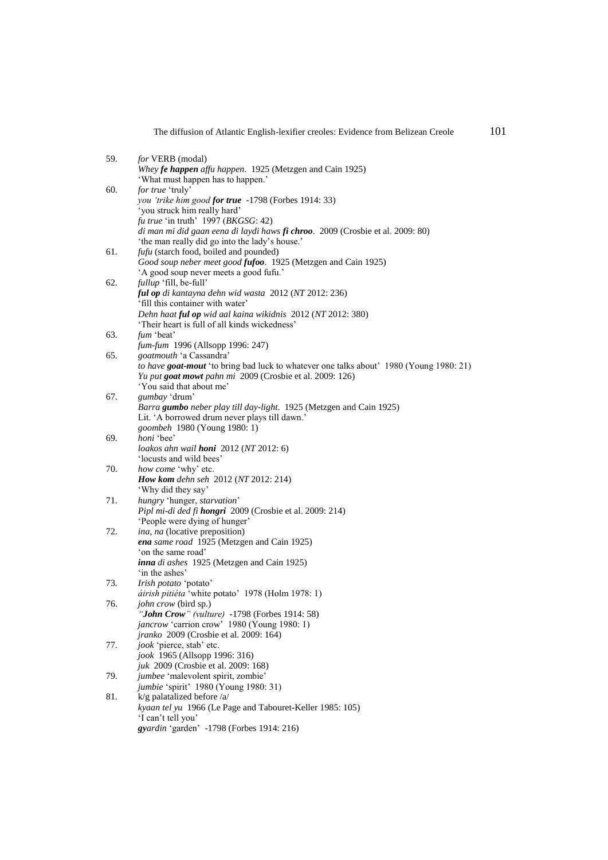|     | The diffusion of Atlantic English-lexifier creoles: Evidence from Belizean Creole              | 101 |
|-----|------------------------------------------------------------------------------------------------|-----|
| 59. | for VERB (modal)                                                                               |     |
|     | Whey fe happen affu happen. 1925 (Metzgen and Cain 1925)<br>'What must happen has to happen.'  |     |
| 60. | for true 'truly'                                                                               |     |
|     | you 'trike him good for true -1798 (Forbes 1914: 33)<br>'you struck him really hard'           |     |
|     | fu true 'in truth' 1997 (BKGSG: 42)                                                            |     |
|     | di man mi did gaan eena di laydi haws fi chroo. 2009 (Crosbie et al. 2009: 80)                 |     |
|     | 'the man really did go into the lady's house.'                                                 |     |
| 61. | fufu (starch food, boiled and pounded)                                                         |     |
|     | Good soup neber meet good fufoo. 1925 (Metzgen and Cain 1925)                                  |     |
|     | 'A good soup never meets a good fufu.'                                                         |     |
| 62. | <i>fullup</i> 'fill, be-full'                                                                  |     |
|     | ful op di kantayna dehn wid wasta 2012 (NT 2012: 236)<br>'fill this container with water'      |     |
|     | Dehn haat ful op wid aal kaina wikidnis 2012 (NT 2012: 380)                                    |     |
|     | 'Their heart is full of all kinds wickedness'                                                  |     |
| 63. | fum 'beat'                                                                                     |     |
|     | fum-fum 1996 (Allsopp 1996: 247)                                                               |     |
| 65. | goatmouth 'a Cassandra'                                                                        |     |
|     | <i>to have goat-mout</i> 'to bring bad luck to whatever one talks about' 1980 (Young 1980: 21) |     |
|     | Yu put goat mowt pahn mi 2009 (Crosbie et al. 2009: 126)                                       |     |
|     | 'You said that about me'                                                                       |     |
| 67. | gumbay 'drum'                                                                                  |     |
|     | Barra gumbo neber play till day-light. 1925 (Metzgen and Cain 1925)                            |     |
|     | Lit. 'A borrowed drum never plays till dawn.'<br>goombeh 1980 (Young 1980: 1)                  |     |
| 69. | <i>honi</i> 'bee'                                                                              |     |
|     | loakos ahn wail <b>honi</b> $2012 (NT 2012: 6)$                                                |     |
|     | 'locusts and wild bees'                                                                        |     |
| 70. | how come 'why' etc.                                                                            |     |
|     | How kom dehn seh 2012 (NT 2012: 214)                                                           |     |
|     | 'Why did they say'                                                                             |     |
| 71. | hungry 'hunger, starvation'                                                                    |     |
|     | Pipl mi-di ded fi hongri 2009 (Crosbie et al. 2009: 214)                                       |     |
| 72. | 'People were dying of hunger'<br>ina, na (locative preposition)                                |     |
|     | ena same road 1925 (Metzgen and Cain 1925)                                                     |     |
|     | 'on the same road'                                                                             |     |
|     | inna di ashes 1925 (Metzgen and Cain 1925)                                                     |     |
|     | 'in the ashes'                                                                                 |     |
| 73. | Irish potato 'potato'                                                                          |     |
|     | áirish pitiéta 'white potato' 1978 (Holm 1978: 1)                                              |     |
| 76. | <i>john crow</i> (bird sp.)<br>" <b>John Crow</b> " (vulture) -1798 (Forbes 1914: 58)          |     |
|     | <i>jancrow</i> 'carrion crow' 1980 (Young 1980: 1)                                             |     |
|     | jranko 2009 (Crosbie et al. 2009: 164)                                                         |     |
| 77. | jook 'pierce, stab' etc.                                                                       |     |
|     | jook 1965 (Allsopp 1996: 316)                                                                  |     |
|     | <i>juk</i> 2009 (Crosbie et al. 2009: 168)                                                     |     |
| 79. | jumbee 'malevolent spirit, zombie'                                                             |     |
|     | jumbie 'spirit' 1980 (Young 1980: 31)                                                          |     |
| 81. | $k/g$ palatalized before /a/                                                                   |     |
|     | kyaan tel yu 1966 (Le Page and Tabouret-Keller 1985: 105)                                      |     |
|     | 'I can't tell you'<br>gyardin 'garden' -1798 (Forbes 1914: 216)                                |     |
|     |                                                                                                |     |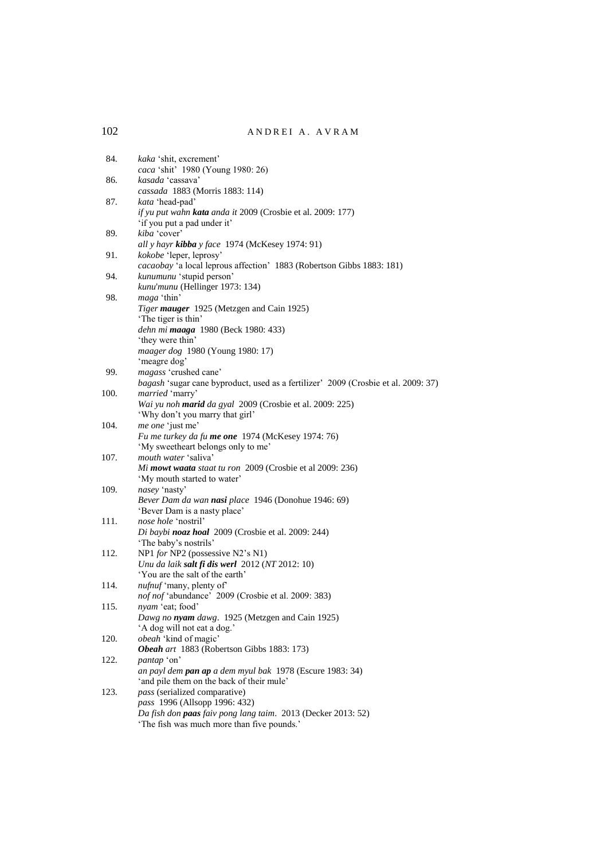| 84.  | kaka 'shit, excrement'                                                                   |
|------|------------------------------------------------------------------------------------------|
|      | caca 'shit' 1980 (Young 1980: 26)                                                        |
| 86.  | kasada 'cassava'                                                                         |
|      | cassada 1883 (Morris 1883: 114)                                                          |
| 87.  | kata 'head-pad'                                                                          |
|      | if yu put wahn kata anda it 2009 (Crosbie et al. 2009: 177)                              |
|      | 'if you put a pad under it'                                                              |
| 89.  | kiba 'cover'                                                                             |
|      | all y hayr kibba y face 1974 (McKesey 1974: 91)                                          |
| 91.  | kokobe 'leper, leprosy'                                                                  |
|      | cacaobay 'a local leprous affection' 1883 (Robertson Gibbs 1883: 181)                    |
| 94.  | kunumunu 'stupid person'                                                                 |
|      | kunu'munu (Hellinger 1973: 134)                                                          |
| 98.  | maga 'thin'                                                                              |
|      | Tiger mauger 1925 (Metzgen and Cain 1925)                                                |
|      | 'The tiger is thin'                                                                      |
|      | dehn mi <b>maaga</b> 1980 (Beck 1980: 433)                                               |
|      | 'they were thin'                                                                         |
|      | maager dog 1980 (Young 1980: 17)                                                         |
|      | 'meagre dog'                                                                             |
| 99.  | magass 'crushed cane'                                                                    |
|      | bagash 'sugar cane byproduct, used as a fertilizer' 2009 (Crosbie et al. 2009: 37)       |
| 100. | married 'marry'                                                                          |
|      | Wai yu noh marid da gyal 2009 (Crosbie et al. 2009: 225)                                 |
|      | 'Why don't you marry that girl'                                                          |
| 104. | <i>me one</i> 'just me'                                                                  |
|      | Fu me turkey da fu me one 1974 (McKesey 1974: 76)                                        |
|      | 'My sweetheart belongs only to me'                                                       |
| 107. | <i>mouth water</i> 'saliva'                                                              |
|      | Mi mowt waata staat tu ron 2009 (Crosbie et al 2009: 236)<br>'My mouth started to water' |
| 109. |                                                                                          |
|      | nasey 'nasty'<br>Bever Dam da wan nasi place 1946 (Donohue 1946: 69)                     |
|      | 'Bever Dam is a nasty place'                                                             |
| 111. | nose hole 'nostril'                                                                      |
|      | Di baybi noaz hoal 2009 (Crosbie et al. 2009: 244)                                       |
|      | 'The baby's nostrils'                                                                    |
| 112. | NP1 for NP2 (possessive N2's N1)                                                         |
|      | Unu da laik salt fi dis werl 2012 (NT 2012: 10)                                          |
|      | 'You are the salt of the earth'                                                          |
| 114. | <i>nufnuf</i> 'many, plenty of'                                                          |
|      | nof nof 'abundance' 2009 (Crosbie et al. 2009: 383)                                      |
| 115. | nyam 'eat; food'                                                                         |
|      | Dawg no nyam dawg. 1925 (Metzgen and Cain 1925)                                          |
|      | 'A dog will not eat a dog.'                                                              |
| 120. | obeah 'kind of magic'                                                                    |
|      | Obeah art 1883 (Robertson Gibbs 1883: 173)                                               |
| 122. | pantap 'on'                                                                              |
|      | an payl dem <b>pan ap</b> a dem myul bak 1978 (Escure 1983: 34)                          |
|      | 'and pile them on the back of their mule'                                                |
| 123. | <i>pass</i> (serialized comparative)                                                     |
|      | pass 1996 (Allsopp 1996: 432)                                                            |
|      | Da fish don paas faiv pong lang taim. 2013 (Decker 2013: 52)                             |
|      | 'The fish was much more than five pounds.'                                               |
|      |                                                                                          |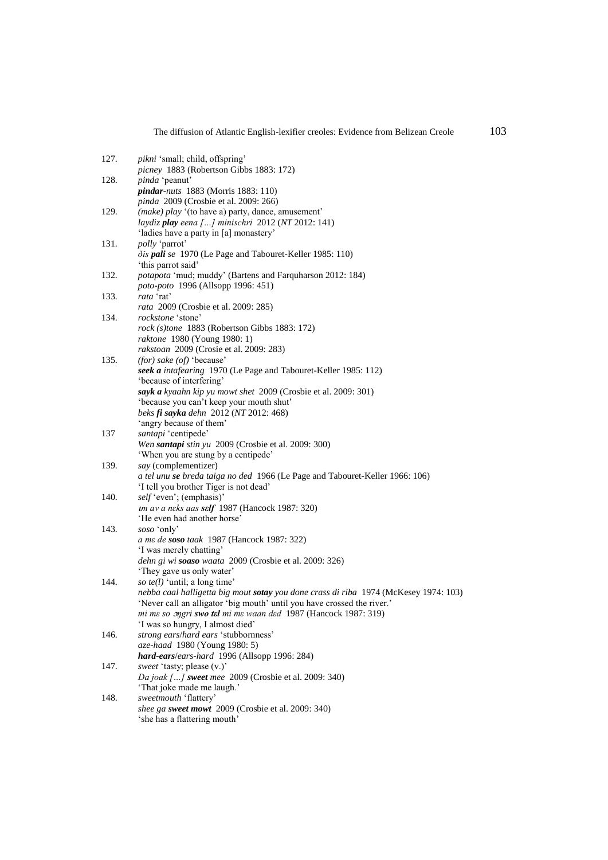| 127. | pikni 'small; child, offspring'                                                      |
|------|--------------------------------------------------------------------------------------|
|      | picney 1883 (Robertson Gibbs 1883: 172)                                              |
| 128. | <i>pinda</i> 'peanut'                                                                |
|      | <i>pindar-nuts</i> 1883 (Morris 1883: 110)                                           |
|      | pinda 2009 (Crosbie et al. 2009: 266)                                                |
| 129. | (make) play '(to have a) party, dance, amusement'                                    |
|      |                                                                                      |
|      | laydiz play eena [] minischri 2012 (NT 2012: 141)                                    |
|      | 'ladies have a party in [a] monastery'                                               |
| 131. | polly 'parrot'                                                                       |
|      | <i>dis pali se</i> 1970 (Le Page and Tabouret-Keller 1985: 110)                      |
|      | 'this parrot said'                                                                   |
| 132. | <i>potapota</i> 'mud; muddy' (Bartens and Farquharson 2012: 184)                     |
|      | poto-poto 1996 (Allsopp 1996: 451)                                                   |
| 133. | rata 'rat'                                                                           |
|      | rata 2009 (Crosbie et al. 2009: 285)                                                 |
| 134. | rockstone 'stone'                                                                    |
|      | rock (s)tone 1883 (Robertson Gibbs 1883: 172)                                        |
|      | raktone 1980 (Young 1980: 1)                                                         |
|      | rakstoan 2009 (Crosie et al. 2009: 283)                                              |
| 135. | (for) sake (of) 'because'                                                            |
|      | seek a intafearing 1970 (Le Page and Tabouret-Keller 1985: 112)                      |
|      | 'because of interfering'                                                             |
|      | sayk a kyaahn kip yu mowt shet 2009 (Crosbie et al. 2009: 301)                       |
|      | 'because you can't keep your mouth shut'                                             |
|      | beks fi sayka dehn 2012 (NT 2012: 468)                                               |
|      | 'angry because of them'                                                              |
| 137  | santapi 'centipede'                                                                  |
|      | Wen santapi stin yu 2009 (Crosbie et al. 2009: 300)                                  |
|      |                                                                                      |
|      | 'When you are stung by a centipede'                                                  |
| 139. | say (complementizer)                                                                 |
|      | a tel unu se breda taiga no ded 1966 (Le Page and Tabouret-Keller 1966: 106)         |
|      | 'I tell you brother Tiger is not dead'                                               |
| 140. | self 'even'; (emphasis)'                                                             |
|      | um av a neks aas self 1987 (Hancock 1987: 320)                                       |
|      | 'He even had another horse'                                                          |
| 143. | soso 'only'                                                                          |
|      | a me de soso taak 1987 (Hancock 1987: 322)                                           |
|      | 'I was merely chatting'                                                              |
|      | dehn gi wi soaso waata 2009 (Crosbie et al. 2009: 326)                               |
|      | 'They gave us only water'                                                            |
| 144. | so te(l) 'until; a long time'                                                        |
|      | nebba caal halligetta big mout sotay you done crass di riba 1974 (McKesey 1974: 103) |
|      | 'Never call an alligator 'big mouth' until you have crossed the river.'              |
|      | mi me so <i>ongri swo tel mi me waan ded</i> 1987 (Hancock 1987: 319)                |
|      | 'I was so hungry, I almost died'                                                     |
| 146. | strong ears/hard ears 'stubbornness'                                                 |
|      | aze-haad 1980 (Young 1980: 5)                                                        |
|      | hard-ears/ears-hard 1996 (Allsopp 1996: 284)                                         |
| 147. | sweet 'tasty; please (v.)'                                                           |
|      | Da joak [] sweet mee 2009 (Crosbie et al. 2009: 340)                                 |
|      | 'That joke made me laugh.'                                                           |
| 148. | sweetmouth 'flattery'                                                                |
|      | shee ga sweet mowt 2009 (Crosbie et al. 2009: 340)                                   |
|      | 'she has a flattering mouth'                                                         |
|      |                                                                                      |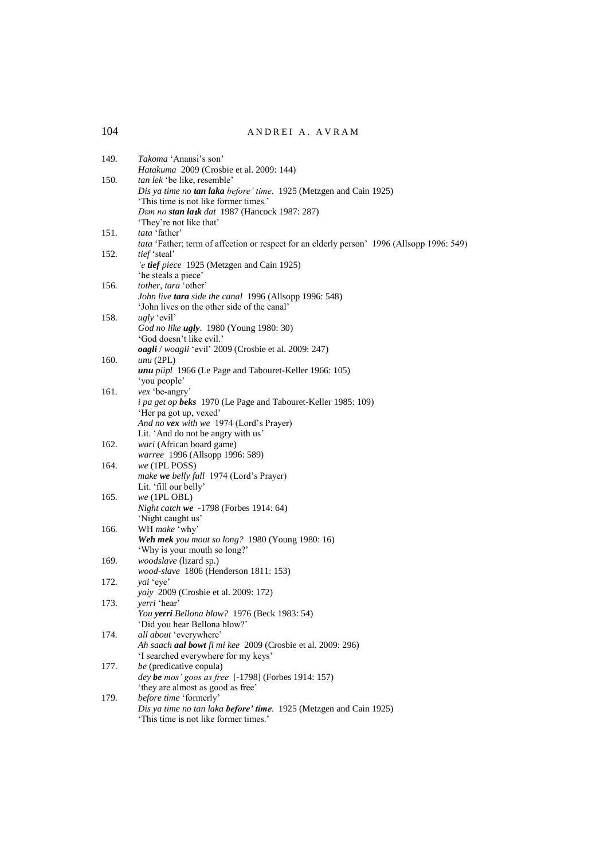| 149. | Takoma 'Anansi's son'                                                                                       |
|------|-------------------------------------------------------------------------------------------------------------|
| 150. | Hatakuma 2009 (Crosbie et al. 2009: 144)<br>tan lek 'be like, resemble'                                     |
|      | Dis ya time no tan laka before' time. 1925 (Metzgen and Cain 1925)                                          |
|      | 'This time is not like former times.'                                                                       |
|      | Dem no stan latk dat 1987 (Hancock 1987: 287)<br>'They're not like that'                                    |
| 151. | tata 'father'                                                                                               |
|      | tata 'Father; term of affection or respect for an elderly person' 1996 (Allsopp 1996: 549)                  |
| 152. | tief 'steal'                                                                                                |
|      | 'e tief piece 1925 (Metzgen and Cain 1925)                                                                  |
| 156. | 'he steals a piece'<br>tother, tara 'other'                                                                 |
|      | John live tara side the canal 1996 (Allsopp 1996: 548)                                                      |
|      | 'John lives on the other side of the canal'                                                                 |
| 158. | <i>ugly</i> 'evil'                                                                                          |
|      | God no like ugly. 1980 (Young 1980: 30)                                                                     |
|      | 'God doesn't like evil.'<br>oagli / woagli 'evil' 2009 (Crosbie et al. 2009: 247)                           |
| 160. | $unu$ (2PL)                                                                                                 |
|      | <i>unu piipl</i> 1966 (Le Page and Tabouret-Keller 1966: 105)                                               |
|      | 'you people'                                                                                                |
| 161. | vex 'be-angry'<br><i>i pa get op beks</i> 1970 (Le Page and Tabouret-Keller 1985: 109)                      |
|      | 'Her pa got up, vexed'                                                                                      |
|      | And no vex with we 1974 (Lord's Prayer)                                                                     |
|      | Lit. 'And do not be angry with us'                                                                          |
| 162. | wari (African board game)                                                                                   |
| 164. | warree 1996 (Allsopp 1996: 589)<br>we (1PL POSS)                                                            |
|      | make we belly full 1974 (Lord's Prayer)                                                                     |
|      | Lit. 'fill our belly'                                                                                       |
| 165. | we (1PL OBL)                                                                                                |
|      | Night catch we -1798 (Forbes 1914: 64)                                                                      |
| 166. | 'Night caught us'<br>WH make 'why'                                                                          |
|      | Weh mek you mout so long? 1980 (Young 1980: 16)                                                             |
|      | 'Why is your mouth so long?'                                                                                |
| 169. | woodslave (lizard sp.)                                                                                      |
|      | wood-slave 1806 (Henderson 1811: 153)                                                                       |
| 172. | yai 'eye'<br>yaiy 2009 (Crosbie et al. 2009: 172)                                                           |
| 173. | yerri 'hear'                                                                                                |
|      | You yerri Bellona blow? 1976 (Beck 1983: 54)                                                                |
|      | 'Did you hear Bellona blow?'                                                                                |
| 174. | all about 'everywhere'                                                                                      |
|      | Ah saach aal bowt fi mi kee 2009 (Crosbie et al. 2009: 296)<br>'I searched everywhere for my keys'          |
| 177. | be (predicative copula)                                                                                     |
|      | dey be mos' goos as free [-1798] (Forbes 1914: 157)                                                         |
|      | 'they are almost as good as free'                                                                           |
| 179. | before time 'formerly'                                                                                      |
|      | Dis ya time no tan laka before' time. 1925 (Metzgen and Cain 1925)<br>'This time is not like former times.' |
|      |                                                                                                             |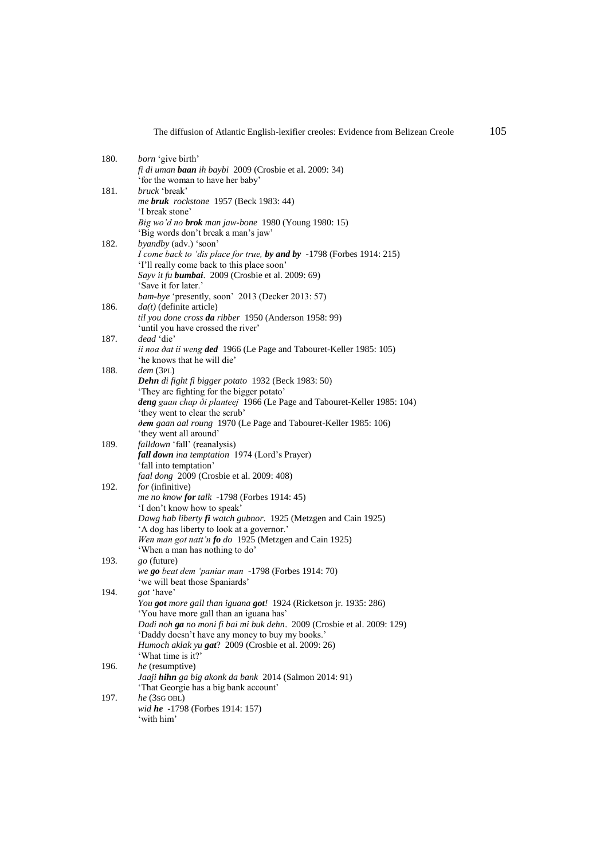| 180. | <i>born</i> 'give birth'                                                                                              |
|------|-----------------------------------------------------------------------------------------------------------------------|
|      | <i>fi di uman baan ih baybi</i> 2009 (Crosbie et al. 2009: 34)                                                        |
|      | 'for the woman to have her baby'                                                                                      |
| 181. | <i>bruck</i> 'break'                                                                                                  |
|      | me bruk rockstone 1957 (Beck 1983: 44)                                                                                |
|      | 'I break stone'                                                                                                       |
|      | Big wo'd no brok man jaw-bone 1980 (Young 1980: 15)                                                                   |
|      | 'Big words don't break a man's jaw'                                                                                   |
| 182. | byandby (adv.) 'soon'                                                                                                 |
|      | <i>I come back to 'dis place for true, by and by -1798 (Forbes 1914: 215)</i>                                         |
|      | 'I'll really come back to this place soon'                                                                            |
|      | Sayv it fu <b>bumbai</b> . 2009 (Crosbie et al. 2009: 69)                                                             |
|      | 'Save it for later.'                                                                                                  |
|      | <i>bam-bye</i> 'presently, soon' 2013 (Decker 2013: 57)                                                               |
| 186. | $da(t)$ (definite article)                                                                                            |
|      | til you done cross da ribber 1950 (Anderson 1958: 99)                                                                 |
|      | 'until you have crossed the river'                                                                                    |
| 187. | dead 'die'                                                                                                            |
|      | ii noa ðat ii weng ded 1966 (Le Page and Tabouret-Keller 1985: 105)                                                   |
| 188. | 'he knows that he will die'<br>dem (3PL)                                                                              |
|      | Dehn di fight fi bigger potato 1932 (Beck 1983: 50)                                                                   |
|      | 'They are fighting for the bigger potato'                                                                             |
|      | deng gaan chap ði planteej 1966 (Le Page and Tabouret-Keller 1985: 104)                                               |
|      | 'they went to clear the scrub'                                                                                        |
|      | dem gaan aal roung 1970 (Le Page and Tabouret-Keller 1985: 106)                                                       |
|      | 'they went all around'                                                                                                |
| 189. | falldown 'fall' (reanalysis)                                                                                          |
|      | fall down ina temptation 1974 (Lord's Prayer)                                                                         |
|      | 'fall into temptation'                                                                                                |
|      | faal dong 2009 (Crosbie et al. 2009: 408)                                                                             |
| 192. | <i>for</i> (infinitive)                                                                                               |
|      | me no know for talk -1798 (Forbes 1914: 45)                                                                           |
|      | 'I don't know how to speak'                                                                                           |
|      | Dawg hab liberty $\mathbf f$ watch gubnor. 1925 (Metzgen and Cain 1925)<br>'A dog has liberty to look at a governor.' |
|      | Wen man got natt'n fo do 1925 (Metzgen and Cain 1925)                                                                 |
|      | 'When a man has nothing to do'                                                                                        |
| 193. | go (future)                                                                                                           |
|      | we go beat dem 'paniar man -1798 (Forbes 1914: 70)                                                                    |
|      | 'we will beat those Spaniards'                                                                                        |
| 194. | <i>got</i> 'have'                                                                                                     |
|      | You got more gall than iguana got! 1924 (Ricketson jr. 1935: 286)                                                     |
|      | 'You have more gall than an iguana has'                                                                               |
|      | Dadi noh ga no moni fi bai mi buk dehn. 2009 (Crosbie et al. 2009: 129)                                               |
|      | 'Daddy doesn't have any money to buy my books.'                                                                       |
|      | Humoch aklak yu gat? 2009 (Crosbie et al. 2009: 26)                                                                   |
|      | 'What time is it?'                                                                                                    |
| 196. | he (resumptive)                                                                                                       |
|      | Jaaji hihn ga big akonk da bank 2014 (Salmon 2014: 91)                                                                |
| 197. | 'That Georgie has a big bank account'<br>$he$ (3sg $OBL$ )                                                            |
|      | wid he -1798 (Forbes 1914: 157)                                                                                       |
|      | 'with him'                                                                                                            |
|      |                                                                                                                       |

The diffusion of Atlantic English-lexifier creoles: Evidence from Belizean Creole 105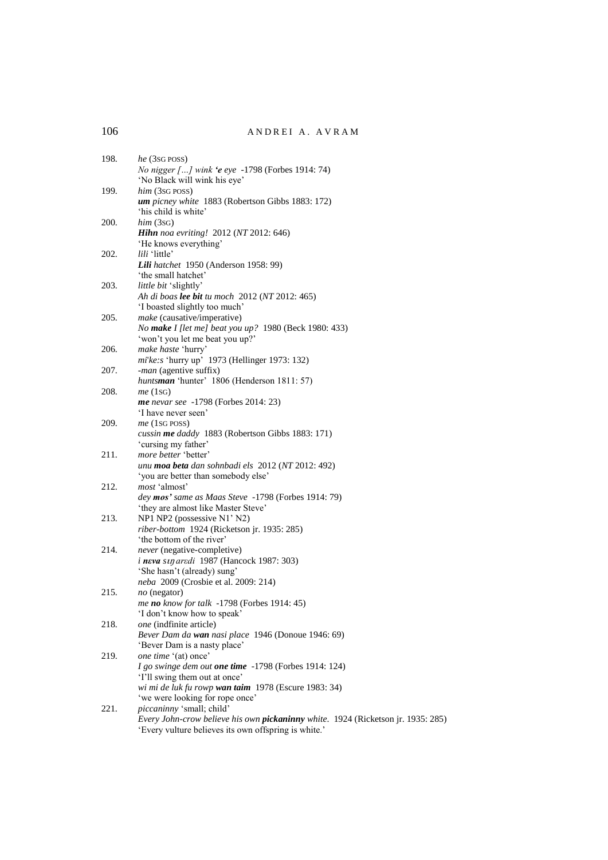| 198. | he (3sg poss)<br><i>No nigger [] wink 'e eye</i> -1798 (Forbes 1914: 74)<br>'No Black will wink his eye'                                 |
|------|------------------------------------------------------------------------------------------------------------------------------------------|
| 199. | $him$ (3sG POSS)<br>um picney white 1883 (Robertson Gibbs 1883: 172)                                                                     |
|      | 'his child is white'                                                                                                                     |
| 200. | him (3SG)<br><b>Hihn</b> noa evriting! 2012 (NT 2012: 646)<br>'He knows everything'                                                      |
| 202. | lili 'little'<br>Lili hatchet 1950 (Anderson 1958: 99)                                                                                   |
|      | 'the small hatchet'                                                                                                                      |
| 203. | little bit 'slightly'<br>Ah di boas lee bit tu moch 2012 (NT 2012: 465)<br>'I boasted slightly too much'                                 |
| 205. | make (causative/imperative)                                                                                                              |
|      | No make I [let me] beat you up? 1980 (Beck 1980: 433)<br>'won't you let me beat you up?'                                                 |
| 206. | make haste 'hurry'<br>mi'ke:s 'hurry up' 1973 (Hellinger 1973: 132)                                                                      |
| 207. | -man (agentive suffix)                                                                                                                   |
|      | huntsman 'hunter' 1806 (Henderson 1811: 57)                                                                                              |
| 208. | me(1sg)<br><b>me</b> nevar see -1798 (Forbes 2014: 23)                                                                                   |
|      | 'I have never seen'                                                                                                                      |
| 209. | $me$ (1sg POSS)                                                                                                                          |
|      | cussin me daddy 1883 (Robertson Gibbs 1883: 171)                                                                                         |
|      | 'cursing my father'                                                                                                                      |
| 211. | more better 'better'<br>unu moa beta dan sohnbadi els 2012 (NT 2012: 492)                                                                |
|      | 'you are better than somebody else'                                                                                                      |
| 212. | most 'almost'                                                                                                                            |
|      | dey mos' same as Maas Steve -1798 (Forbes 1914: 79)                                                                                      |
|      | 'they are almost like Master Steve'                                                                                                      |
| 213. | NP1 NP2 (possessive N1' N2)<br>riber-bottom 1924 (Ricketson jr. 1935: 285)                                                               |
|      | 'the bottom of the river'                                                                                                                |
| 214. | never (negative-completive)                                                                                                              |
|      | <i>i</i> neva sujaredi 1987 (Hancock 1987: 303)                                                                                          |
|      | 'She hasn't (already) sung'                                                                                                              |
| 215. | neba 2009 (Crosbie et al. 2009: 214)<br>$no$ (negator)                                                                                   |
|      | me no know for talk -1798 (Forbes 1914: 45)                                                                                              |
|      | 'I don't know how to speak'                                                                                                              |
| 218. | one (indfinite article)                                                                                                                  |
|      | Bever Dam da wan nasi place 1946 (Donoue 1946: 69)                                                                                       |
|      | 'Bever Dam is a nasty place'                                                                                                             |
| 219. | one time '(at) once'                                                                                                                     |
|      | I go swinge dem out one time -1798 (Forbes 1914: 124)<br>'I'll swing them out at once'                                                   |
|      | wi mi de luk fu rowp wan taim 1978 (Escure 1983: 34)                                                                                     |
|      | 'we were looking for rope once'                                                                                                          |
| 221. | piccaninny 'small; child'                                                                                                                |
|      | Every John-crow believe his own pickaninny white. 1924 (Ricketson jr. 1935: 285)<br>'Every vulture believes its own offspring is white.' |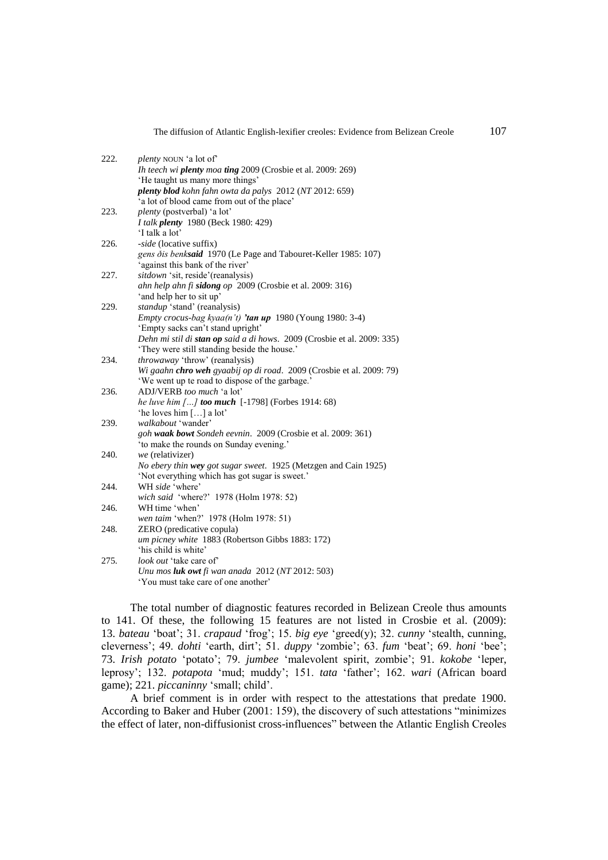| 222. | <i>plenty</i> NOUN 'a lot of'                                           |
|------|-------------------------------------------------------------------------|
|      | <i>Ih teech wi plenty moa ting 2009 (Crosbie et al. 2009: 269)</i>      |
|      | 'He taught us many more things'                                         |
|      | plenty blod kohn fahn owta da palys 2012 (NT 2012: 659)                 |
|      | 'a lot of blood came from out of the place'                             |
| 223. | <i>plenty</i> (postverbal) 'a lot'                                      |
|      | I talk plenty 1980 (Beck 1980: 429)                                     |
|      | 'I talk a lot'                                                          |
| 226. | -side (locative suffix)                                                 |
|      | gens ðis benksaid 1970 (Le Page and Tabouret-Keller 1985: 107)          |
|      | 'against this bank of the river'                                        |
| 227. | sitdown 'sit, reside'(reanalysis)                                       |
|      | ahn help ahn fi sidong op 2009 (Crosbie et al. 2009: 316)               |
|      | 'and help her to sit up'                                                |
| 229. | standup 'stand' (reanalysis)                                            |
|      | Empty crocus-bag kyaa(n't) 'tan up 1980 (Young 1980: 3-4)               |
|      | 'Empty sacks can't stand upright'                                       |
|      | Dehn mi stil di stan op said a di hows. 2009 (Crosbie et al. 2009: 335) |
|      | 'They were still standing beside the house.'                            |
| 234. | <i>throwaway</i> 'throw' (reanalysis)                                   |
|      | Wi gaahn chro weh gyaabij op di road. 2009 (Crosbie et al. 2009: 79)    |
|      | 'We went up te road to dispose of the garbage.'                         |
| 236. | ADJ/VERB too much 'a lot'                                               |
|      | he luve him [] too much [-1798] (Forbes 1914: 68)                       |
|      | 'he loves him [] a lot'                                                 |
| 239. | walkabout 'wander'                                                      |
|      | goh waak bowt Sondeh eevnin. 2009 (Crosbie et al. 2009: 361)            |
|      | 'to make the rounds on Sunday evening.'                                 |
| 240. | we (relativizer)                                                        |
|      | No ebery thin wey got sugar sweet. 1925 (Metzgen and Cain 1925)         |
|      | 'Not everything which has got sugar is sweet.'                          |
| 244. | WH side 'where'                                                         |
|      | wich said 'where?' 1978 (Holm 1978: 52)                                 |
| 246. | WH time 'when'                                                          |
|      | wen taim 'when?' 1978 (Holm 1978: 51)                                   |
| 248. | ZERO (predicative copula)                                               |
|      | um picney white 1883 (Robertson Gibbs 1883: 172)                        |
|      | 'his child is white'                                                    |
| 275. | <i>look out</i> 'take care of'                                          |
|      | Unu mos <b>luk owt</b> fi wan anada $2012$ (NT $2012$ : 503)            |
|      | 'You must take care of one another'                                     |

The total number of diagnostic features recorded in Belizean Creole thus amounts to 141. Of these, the following 15 features are not listed in Crosbie et al. (2009): 13. *bateau* 'boat'; 31. *crapaud* 'frog'; 15. *big eye* 'greed(y); 32. *cunny* 'stealth, cunning, cleverness'; 49. *dohti* 'earth, dirt'; 51. *duppy* 'zombie'; 63. *fum* 'beat'; 69. *honi* 'bee'; 73. *Irish potato* 'potato'; 79. *jumbee* 'malevolent spirit, zombie'; 91. *kokobe* 'leper, leprosy'; 132. *potapota* 'mud; muddy'; 151. *tata* 'father'; 162. *wari* (African board game); 221. *piccaninny* 'small; child'.

A brief comment is in order with respect to the attestations that predate 1900. According to Baker and Huber (2001: 159), the discovery of such attestations "minimizes the effect of later, non-diffusionist cross-influences" between the Atlantic English Creoles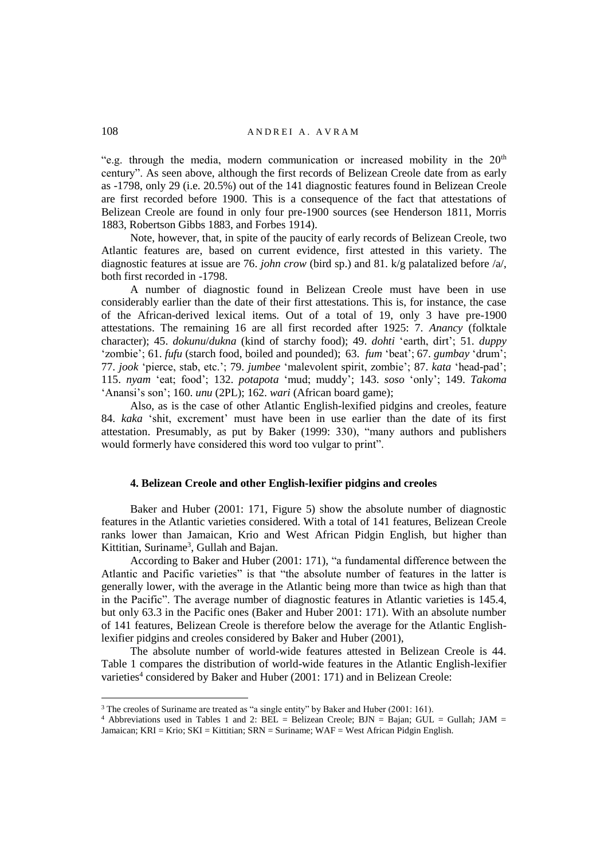"e.g. through the media, modern communication or increased mobility in the  $20<sup>th</sup>$ century". As seen above, although the first records of Belizean Creole date from as early as -1798, only 29 (i.e. 20.5%) out of the 141 diagnostic features found in Belizean Creole are first recorded before 1900. This is a consequence of the fact that attestations of Belizean Creole are found in only four pre-1900 sources (see Henderson 1811, Morris 1883, Robertson Gibbs 1883, and Forbes 1914).

Note, however, that, in spite of the paucity of early records of Belizean Creole, two Atlantic features are, based on current evidence, first attested in this variety. The diagnostic features at issue are 76. *john crow* (bird sp.) and 81. k/g palatalized before /a/, both first recorded in -1798.

A number of diagnostic found in Belizean Creole must have been in use considerably earlier than the date of their first attestations. This is, for instance, the case of the African-derived lexical items. Out of a total of 19, only 3 have pre-1900 attestations. The remaining 16 are all first recorded after 1925: 7. *Anancy* (folktale character); 45. *dokunu*/*dukna* (kind of starchy food); 49. *dohti* 'earth, dirt'; 51. *duppy* 'zombie'; 61. *fufu* (starch food, boiled and pounded); 63. *fum* 'beat'; 67. *gumbay* 'drum'; 77. *jook* 'pierce, stab, etc.'; 79. *jumbee* 'malevolent spirit, zombie'; 87. *kata* 'head-pad'; 115. *nyam* 'eat; food'; 132. *potapota* 'mud; muddy'; 143. *soso* 'only'; 149. *Takoma* 'Anansi's son'; 160. *unu* (2PL); 162. *wari* (African board game);

Also, as is the case of other Atlantic English-lexified pidgins and creoles, feature 84. *kaka* 'shit, excrement' must have been in use earlier than the date of its first attestation. Presumably, as put by Baker (1999: 330), "many authors and publishers would formerly have considered this word too vulgar to print".

### **4. Belizean Creole and other English-lexifier pidgins and creoles**

Baker and Huber (2001: 171, Figure 5) show the absolute number of diagnostic features in the Atlantic varieties considered. With a total of 141 features, Belizean Creole ranks lower than Jamaican, Krio and West African Pidgin English, but higher than Kittitian, Suriname<sup>3</sup>, Gullah and Bajan.

According to Baker and Huber (2001: 171), "a fundamental difference between the Atlantic and Pacific varieties" is that "the absolute number of features in the latter is generally lower, with the average in the Atlantic being more than twice as high than that in the Pacific". The average number of diagnostic features in Atlantic varieties is 145.4, but only 63.3 in the Pacific ones (Baker and Huber 2001: 171). With an absolute number of 141 features, Belizean Creole is therefore below the average for the Atlantic Englishlexifier pidgins and creoles considered by Baker and Huber (2001),

The absolute number of world-wide features attested in Belizean Creole is 44. Table 1 compares the distribution of world-wide features in the Atlantic English-lexifier varieties<sup>4</sup> considered by Baker and Huber (2001: 171) and in Belizean Creole:

<sup>&</sup>lt;sup>3</sup> The creoles of Suriname are treated as "a single entity" by Baker and Huber (2001: 161).

<sup>&</sup>lt;sup>4</sup> Abbreviations used in Tables 1 and 2: BEL = Belizean Creole; BJN = Bajan; GUL = Gullah; JAM = Jamaican; KRI = Krio; SKI = Kittitian; SRN = Suriname; WAF = West African Pidgin English.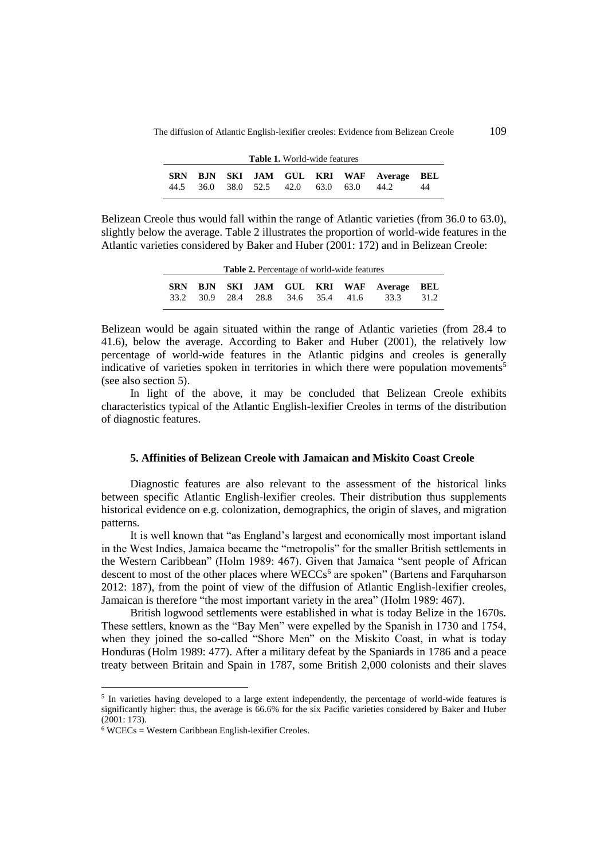The diffusion of Atlantic English-lexifier creoles: Evidence from Belizean Creole 109

| <b>Table 1.</b> World-wide features |  |  |  |  |  |                                         |                                         |    |
|-------------------------------------|--|--|--|--|--|-----------------------------------------|-----------------------------------------|----|
|                                     |  |  |  |  |  | 44.5 36.0 38.0 52.5 42.0 63.0 63.0 44.2 | SRN BJN SKI JAM GUL KRI WAF Average BEL | 44 |

Belizean Creole thus would fall within the range of Atlantic varieties (from 36.0 to 63.0), slightly below the average. Table 2 illustrates the proportion of world-wide features in the Atlantic varieties considered by Baker and Huber (2001: 172) and in Belizean Creole:

| <b>Table 2.</b> Percentage of world-wide features |  |  |  |  |  |  |                                                                                       |      |
|---------------------------------------------------|--|--|--|--|--|--|---------------------------------------------------------------------------------------|------|
| <b>SRN</b>                                        |  |  |  |  |  |  | <b>BJN SKI JAM GUL KRI WAF Average BEL</b><br>33.2 30.9 28.4 28.8 34.6 35.4 41.6 33.3 | 31.2 |

Belizean would be again situated within the range of Atlantic varieties (from 28.4 to 41.6), below the average. According to Baker and Huber (2001), the relatively low percentage of world-wide features in the Atlantic pidgins and creoles is generally indicative of varieties spoken in territories in which there were population movements<sup>5</sup> (see also section 5).

In light of the above, it may be concluded that Belizean Creole exhibits characteristics typical of the Atlantic English-lexifier Creoles in terms of the distribution of diagnostic features.

### **5. Affinities of Belizean Creole with Jamaican and Miskito Coast Creole**

Diagnostic features are also relevant to the assessment of the historical links between specific Atlantic English-lexifier creoles. Their distribution thus supplements historical evidence on e.g. colonization, demographics, the origin of slaves, and migration patterns.

It is well known that "as England's largest and economically most important island in the West Indies, Jamaica became the "metropolis" for the smaller British settlements in the Western Caribbean" (Holm 1989: 467). Given that Jamaica "sent people of African descent to most of the other places where  $WECCs<sup>6</sup>$  are spoken" (Bartens and Farquharson 2012: 187), from the point of view of the diffusion of Atlantic English-lexifier creoles, Jamaican is therefore "the most important variety in the area" (Holm 1989: 467).

British logwood settlements were established in what is today Belize in the 1670s. These settlers, known as the "Bay Men" were expelled by the Spanish in 1730 and 1754, when they joined the so-called "Shore Men" on the Miskito Coast, in what is today Honduras (Holm 1989: 477). After a military defeat by the Spaniards in 1786 and a peace treaty between Britain and Spain in 1787, some British 2,000 colonists and their slaves

<sup>&</sup>lt;sup>5</sup> In varieties having developed to a large extent independently, the percentage of world-wide features is significantly higher: thus, the average is 66.6% for the six Pacific varieties considered by Baker and Huber (2001: 173).

 $6$  WCECs = Western Caribbean English-lexifier Creoles.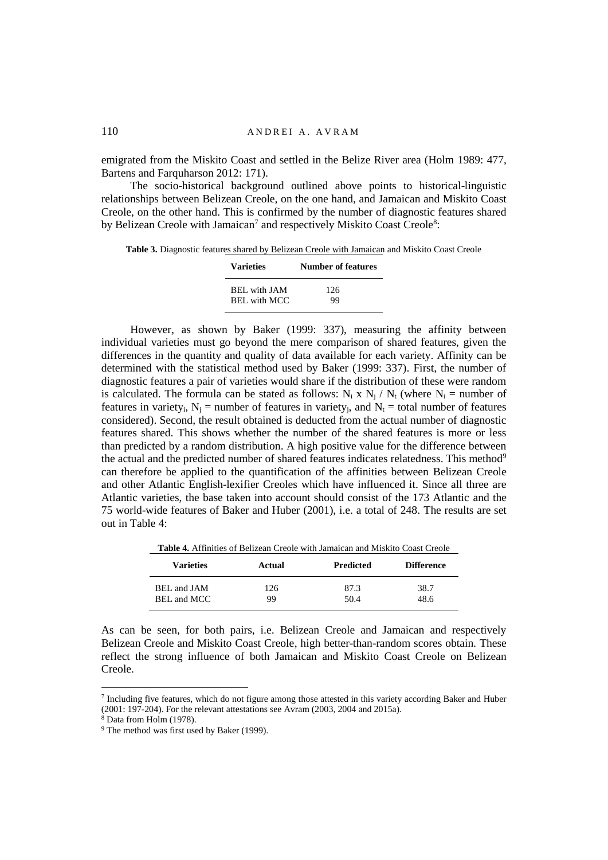emigrated from the Miskito Coast and settled in the Belize River area (Holm 1989: 477, Bartens and Farquharson 2012: 171).

The socio-historical background outlined above points to historical-linguistic relationships between Belizean Creole, on the one hand, and Jamaican and Miskito Coast Creole, on the other hand. This is confirmed by the number of diagnostic features shared by Belizean Creole with Jamaican<sup>7</sup> and respectively Miskito Coast Creole<sup>8</sup>:

**Table 3.** Diagnostic features shared by Belizean Creole with Jamaican and Miskito Coast Creole

| <b>Varieties</b>           | <b>Number of features</b> |
|----------------------------|---------------------------|
| <b>BEL</b> with <b>JAM</b> | 126                       |
| <b>BEL</b> with MCC        | 99                        |

However, as shown by Baker (1999: 337), measuring the affinity between individual varieties must go beyond the mere comparison of shared features, given the differences in the quantity and quality of data available for each variety. Affinity can be determined with the statistical method used by Baker (1999: 337). First, the number of diagnostic features a pair of varieties would share if the distribution of these were random is calculated. The formula can be stated as follows:  $N_i \times N_j / N_t$  (where  $N_i =$  number of features in variety<sub>i</sub>,  $N_j$  = number of features in variety<sub>i</sub>, and  $N_t$  = total number of features considered). Second, the result obtained is deducted from the actual number of diagnostic features shared. This shows whether the number of the shared features is more or less than predicted by a random distribution. A high positive value for the difference between the actual and the predicted number of shared features indicates relatedness. This method<sup>9</sup> can therefore be applied to the quantification of the affinities between Belizean Creole and other Atlantic English-lexifier Creoles which have influenced it. Since all three are Atlantic varieties, the base taken into account should consist of the 173 Atlantic and the 75 world-wide features of Baker and Huber (2001), i.e. a total of 248. The results are set out in Table 4:

| <b>Table 4.</b> Allillities of Belizeall Creole with Jamaican and Miskito Coast Creole |           |                  |                   |  |
|----------------------------------------------------------------------------------------|-----------|------------------|-------------------|--|
| Varieties                                                                              | Actual    | <b>Predicted</b> | <b>Difference</b> |  |
| BEL and JAM<br>BEL and MCC                                                             | 126<br>99 | 87.3<br>50.4     | 38.7<br>48.6      |  |

**Table 4.** Affinities of Belizean Creole with Jamaican and Miskito Coast Creole

As can be seen, for both pairs, i.e. Belizean Creole and Jamaican and respectively Belizean Creole and Miskito Coast Creole, high better-than-random scores obtain. These reflect the strong influence of both Jamaican and Miskito Coast Creole on Belizean Creole.

<sup>&</sup>lt;sup>7</sup> Including five features, which do not figure among those attested in this variety according Baker and Huber (2001: 197-204). For the relevant attestations see Avram (2003, 2004 and 2015a).

<sup>8</sup> Data from Holm (1978).

<sup>&</sup>lt;sup>9</sup> The method was first used by Baker (1999).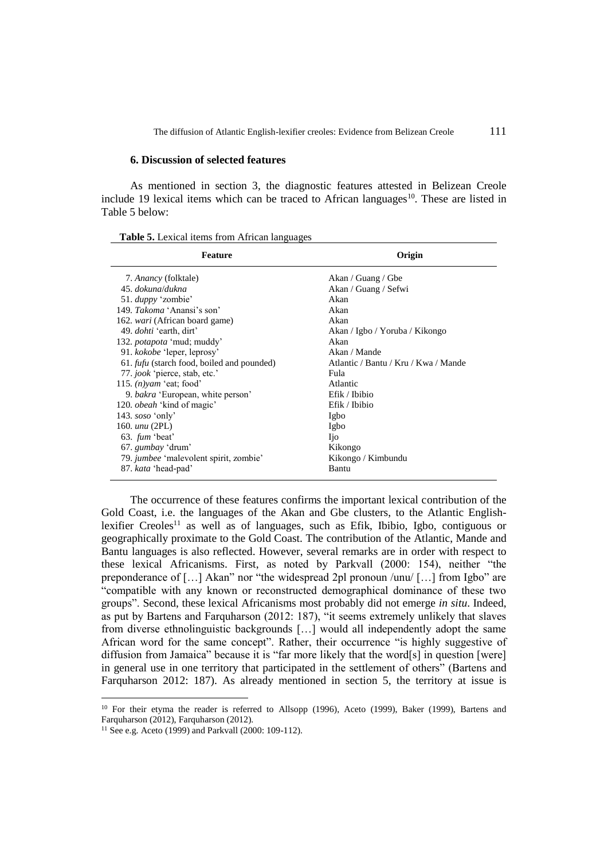The diffusion of Atlantic English-lexifier creoles: Evidence from Belizean Creole 111

#### **6. Discussion of selected features**

As mentioned in section 3, the diagnostic features attested in Belizean Creole include 19 lexical items which can be traced to African languages $10$ . These are listed in Table 5 below:

| <b>Table 5.</b> Lexical items from African languages |  |
|------------------------------------------------------|--|
|------------------------------------------------------|--|

| <b>Feature</b>                                    | Origin                               |
|---------------------------------------------------|--------------------------------------|
| 7. <i>Anancy</i> (folktale)                       | Akan / Guang / Gbe                   |
| 45. dokuna/dukna                                  | Akan / Guang / Sefwi                 |
| 51. <i>duppy</i> 'zombie'                         | Akan                                 |
| 149. Takoma 'Anansi's son'                        | Akan                                 |
| 162. <i>wari</i> (African board game)             | Akan                                 |
| 49. <i>dohti</i> 'earth, dirt'                    | Akan / Igbo / Yoruba / Kikongo       |
| 132. <i>potapota</i> 'mud; muddy'                 | Akan                                 |
| 91. kokobe 'leper, leprosy'                       | Akan / Mande                         |
| 61. <i>fufu</i> (starch food, boiled and pounded) | Atlantic / Bantu / Kru / Kwa / Mande |
| 77. jook 'pierce, stab, etc.'                     | Fula                                 |
| 115. $(n)$ vam 'eat; food'                        | Atlantic                             |
| 9. bakra 'European, white person'                 | Efik / Ibibio                        |
| 120. <i>obeah</i> 'kind of magic'                 | Efik / Ibibio                        |
| 143. $soso$ 'only'                                | Igbo                                 |
| 160. <i>unu</i> (2PL)                             | Igbo                                 |
| 63. <i>fum</i> 'beat'                             | <b>Ijo</b>                           |
| 67. gumbay 'drum'                                 | Kikongo                              |
| 79. jumbee 'malevolent spirit, zombie'            | Kikongo / Kimbundu                   |
| 87. kata 'head-pad'                               | Bantu                                |

The occurrence of these features confirms the important lexical contribution of the Gold Coast, i.e. the languages of the Akan and Gbe clusters, to the Atlantic Englishlexifier Creoles<sup>11</sup> as well as of languages, such as Efik, Ibibio, Igbo, contiguous or geographically proximate to the Gold Coast. The contribution of the Atlantic, Mande and Bantu languages is also reflected. However, several remarks are in order with respect to these lexical Africanisms. First, as noted by Parkvall (2000: 154), neither "the preponderance of […] Akan" nor "the widespread 2pl pronoun /unu/ […] from Igbo" are "compatible with any known or reconstructed demographical dominance of these two groups". Second, these lexical Africanisms most probably did not emerge *in situ*. Indeed, as put by Bartens and Farquharson (2012: 187), "it seems extremely unlikely that slaves from diverse ethnolinguistic backgrounds […] would all independently adopt the same African word for the same concept". Rather, their occurrence "is highly suggestive of diffusion from Jamaica" because it is "far more likely that the word[s] in question [were] in general use in one territory that participated in the settlement of others" (Bartens and Farquharson 2012: 187). As already mentioned in section 5, the territory at issue is

<sup>&</sup>lt;sup>10</sup> For their etyma the reader is referred to Allsopp (1996), Aceto (1999), Baker (1999), Bartens and Farquharson (2012), Farquharson (2012).

<sup>11</sup> See e.g. Aceto (1999) and Parkvall (2000: 109-112).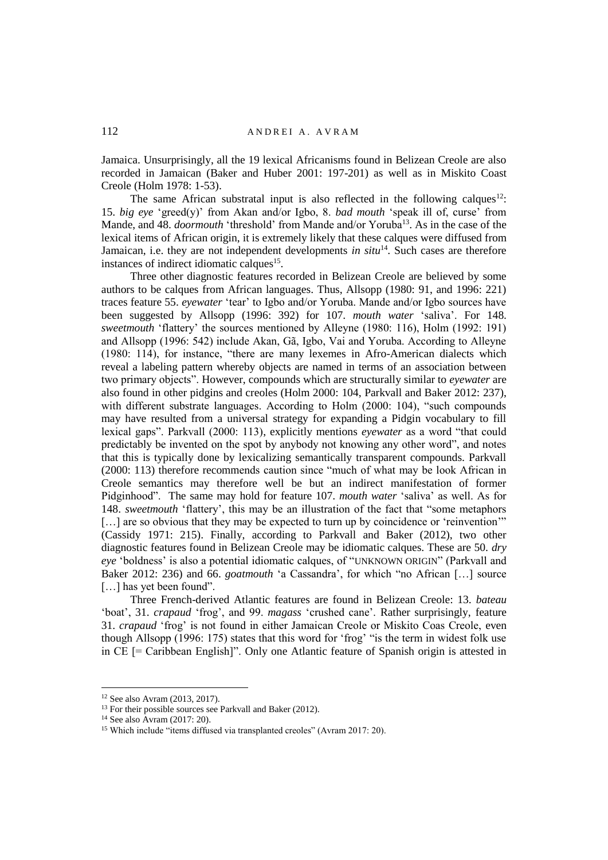Jamaica. Unsurprisingly, all the 19 lexical Africanisms found in Belizean Creole are also recorded in Jamaican (Baker and Huber 2001: 197-201) as well as in Miskito Coast Creole (Holm 1978: 1-53).

The same African substratal input is also reflected in the following calques<sup>12</sup>: 15. *big eye* 'greed(y)' from Akan and/or Igbo, 8. *bad mouth* 'speak ill of, curse' from Mande, and 48. *doormouth* 'threshold' from Mande and/or Yoruba<sup>13</sup>. As in the case of the lexical items of African origin, it is extremely likely that these calques were diffused from Jamaican, i.e. they are not independent developments *in situ*<sup>14</sup>. Such cases are therefore instances of indirect idiomatic calques<sup>15</sup>.

Three other diagnostic features recorded in Belizean Creole are believed by some authors to be calques from African languages. Thus, Allsopp (1980: 91, and 1996: 221) traces feature 55. *eyewater* 'tear' to Igbo and/or Yoruba. Mande and/or Igbo sources have been suggested by Allsopp (1996: 392) for 107. *mouth water* 'saliva'. For 148. *sweetmouth* 'flattery' the sources mentioned by Alleyne (1980: 116), Holm (1992: 191) and Allsopp (1996: 542) include Akan, Gã, Igbo, Vai and Yoruba. According to Alleyne (1980: 114), for instance, "there are many lexemes in Afro-American dialects which reveal a labeling pattern whereby objects are named in terms of an association between two primary objects". However, compounds which are structurally similar to *eyewater* are also found in other pidgins and creoles (Holm 2000: 104, Parkvall and Baker 2012: 237), with different substrate languages. According to Holm (2000: 104), "such compounds may have resulted from a universal strategy for expanding a Pidgin vocabulary to fill lexical gaps". Parkvall (2000: 113), explicitly mentions *eyewater* as a word "that could predictably be invented on the spot by anybody not knowing any other word", and notes that this is typically done by lexicalizing semantically transparent compounds. Parkvall (2000: 113) therefore recommends caution since "much of what may be look African in Creole semantics may therefore well be but an indirect manifestation of former Pidginhood". The same may hold for feature 107. *mouth water* 'saliva' as well. As for 148. *sweetmouth* 'flattery', this may be an illustration of the fact that "some metaphors [...] are so obvious that they may be expected to turn up by coincidence or 'reinvention'" (Cassidy 1971: 215). Finally, according to Parkvall and Baker (2012), two other diagnostic features found in Belizean Creole may be idiomatic calques. These are 50. *dry eye* 'boldness' is also a potential idiomatic calques, of "UNKNOWN ORIGIN" (Parkvall and Baker 2012: 236) and 66. *goatmouth* 'a Cassandra', for which "no African […] source [...] has yet been found".

Three French-derived Atlantic features are found in Belizean Creole: 13. *bateau* 'boat', 31. *crapaud* 'frog', and 99. *magass* 'crushed cane'. Rather surprisingly, feature 31. *crapaud* 'frog' is not found in either Jamaican Creole or Miskito Coas Creole, even though Allsopp (1996: 175) states that this word for 'frog' "is the term in widest folk use in CE [= Caribbean English]". Only one Atlantic feature of Spanish origin is attested in

<sup>12</sup> See also Avram (2013, 2017).

<sup>&</sup>lt;sup>13</sup> For their possible sources see Parkvall and Baker (2012).

<sup>14</sup> See also Avram (2017: 20).

<sup>&</sup>lt;sup>15</sup> Which include "items diffused via transplanted creoles" (Avram 2017: 20).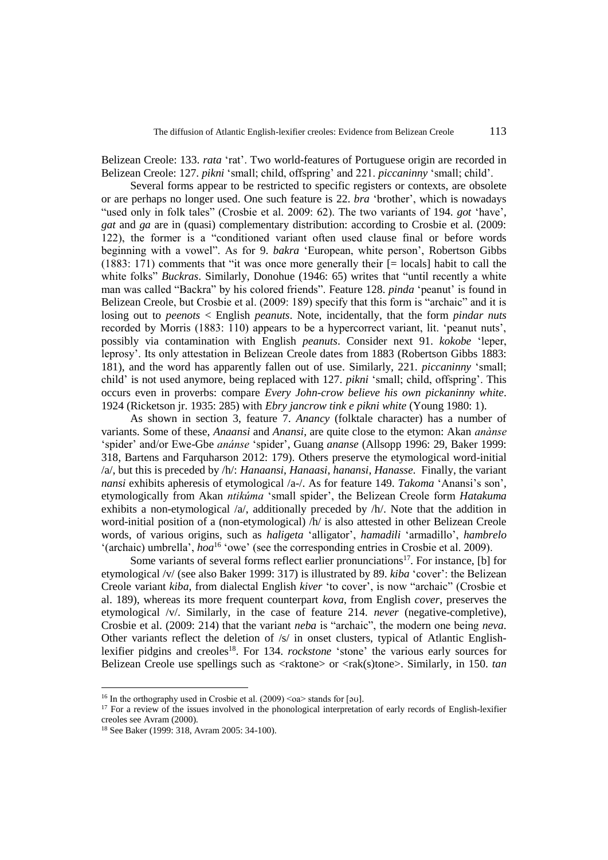Belizean Creole: 133. *rata* 'rat'. Two world-features of Portuguese origin are recorded in Belizean Creole: 127. *pikni* 'small; child, offspring' and 221. *piccaninny* 'small; child'.

Several forms appear to be restricted to specific registers or contexts, are obsolete or are perhaps no longer used. One such feature is 22. *bra* 'brother', which is nowadays "used only in folk tales" (Crosbie et al. 2009: 62). The two variants of 194. *got* 'have', *gat* and *ga* are in (quasi) complementary distribution: according to Crosbie et al. (2009: 122), the former is a "conditioned variant often used clause final or before words beginning with a vowel". As for 9. *bakra* 'European, white person', Robertson Gibbs (1883: 171) comments that "it was once more generally their [= locals] habit to call the white folks" *Buckras*. Similarly, Donohue (1946: 65) writes that "until recently a white man was called "Backra" by his colored friends". Feature 128. *pinda* 'peanut' is found in Belizean Creole, but Crosbie et al. (2009: 189) specify that this form is "archaic" and it is losing out to *peenots* < English *peanuts*. Note, incidentally, that the form *pindar nuts* recorded by Morris (1883: 110) appears to be a hypercorrect variant, lit. 'peanut nuts', possibly via contamination with English *peanuts*. Consider next 91. *kokobe* 'leper, leprosy'. Its only attestation in Belizean Creole dates from 1883 (Robertson Gibbs 1883: 181), and the word has apparently fallen out of use. Similarly, 221. *piccaninny* 'small; child' is not used anymore, being replaced with 127. *pikni* 'small; child, offspring'. This occurs even in proverbs: compare *Every John-crow believe his own pickaninny white*. 1924 (Ricketson jr. 1935: 285) with *Ebry jancrow tink e pikni white* (Young 1980: 1).

As shown in section 3, feature 7. *Anancy* (folktale character) has a number of variants. Some of these, *Anaansi* and *Anansi*, are quite close to the etymon: Akan *anànse* 'spider' and/or Ewe-Gbe *anánse* 'spider', Guang *ananse* (Allsopp 1996: 29, Baker 1999: 318, Bartens and Farquharson 2012: 179). Others preserve the etymological word-initial /a/, but this is preceded by /h/: *Hanaansi*, *Hanaasi*, *hanansi*, *Hanasse*. Finally, the variant *nansi* exhibits apheresis of etymological /a-/. As for feature 149. *Takoma* 'Anansi's son', etymologically from Akan *ntikúma* 'small spider', the Belizean Creole form *Hatakuma* exhibits a non-etymological /a/, additionally preceded by /h/. Note that the addition in word-initial position of a (non-etymological) /h/ is also attested in other Belizean Creole words, of various origins, such as *haligeta* 'alligator', *hamadili* 'armadillo', *hambrelo* '(archaic) umbrella', *hoa*<sup>16</sup> 'owe' (see the corresponding entries in Crosbie et al. 2009).

Some variants of several forms reflect earlier pronunciations<sup>17</sup>. For instance, [b] for etymological /v/ (see also Baker 1999: 317) is illustrated by 89. *kiba* 'cover': the Belizean Creole variant *kiba*, from dialectal English *kiver* 'to cover', is now "archaic" (Crosbie et al. 189), whereas its more frequent counterpart *kova*, from English *cover*, preserves the etymological /v/. Similarly, in the case of feature 214. *never* (negative-completive), Crosbie et al. (2009: 214) that the variant *neba* is "archaic", the modern one being *neva*. Other variants reflect the deletion of /s/ in onset clusters, typical of Atlantic Englishlexifier pidgins and creoles<sup>18</sup>. For 134. *rockstone* 'stone' the various early sources for Belizean Creole use spellings such as <raktone> or <rak(s)tone>. Similarly, in 150. *tan* 

<sup>&</sup>lt;sup>16</sup> In the orthography used in Crosbie et al. (2009)  $\langle$ oa $\rangle$  stands for [əʊ].

<sup>&</sup>lt;sup>17</sup> For a review of the issues involved in the phonological interpretation of early records of English-lexifier creoles see Avram (2000).

<sup>18</sup> See Baker (1999: 318, Avram 2005: 34-100).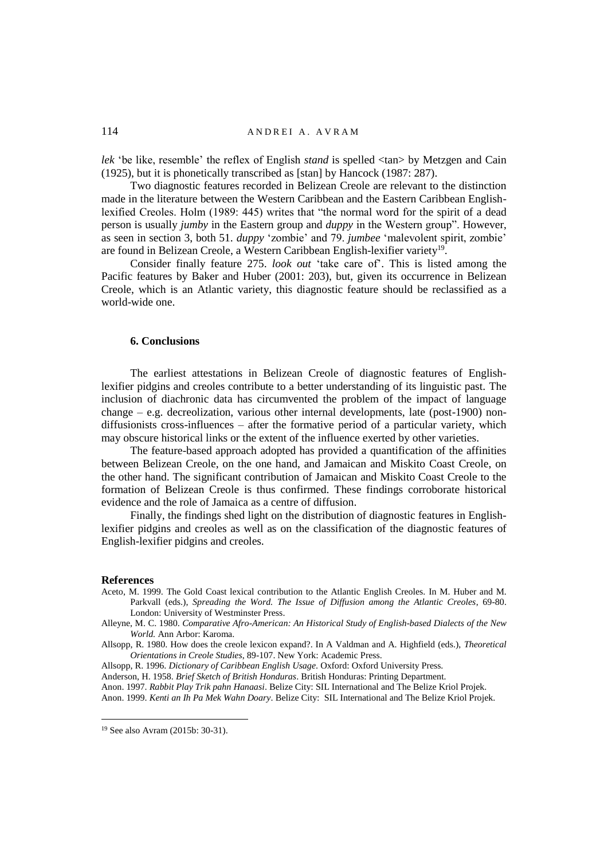*lek* 'be like, resemble' the reflex of English *stand* is spelled <tan> by Metzgen and Cain (1925), but it is phonetically transcribed as [stan] by Hancock (1987: 287).

Two diagnostic features recorded in Belizean Creole are relevant to the distinction made in the literature between the Western Caribbean and the Eastern Caribbean Englishlexified Creoles. Holm (1989: 445) writes that "the normal word for the spirit of a dead person is usually *jumby* in the Eastern group and *duppy* in the Western group". However, as seen in section 3, both 51. *duppy* 'zombie' and 79. *jumbee* 'malevolent spirit, zombie' are found in Belizean Creole, a Western Caribbean English-lexifier variety<sup>19</sup>.

Consider finally feature 275. *look out* 'take care of'. This is listed among the Pacific features by Baker and Huber (2001: 203), but, given its occurrence in Belizean Creole, which is an Atlantic variety, this diagnostic feature should be reclassified as a world-wide one.

## **6. Conclusions**

The earliest attestations in Belizean Creole of diagnostic features of Englishlexifier pidgins and creoles contribute to a better understanding of its linguistic past. The inclusion of diachronic data has circumvented the problem of the impact of language change – e.g. decreolization, various other internal developments, late (post-1900) nondiffusionists cross-influences – after the formative period of a particular variety, which may obscure historical links or the extent of the influence exerted by other varieties.

The feature-based approach adopted has provided a quantification of the affinities between Belizean Creole, on the one hand, and Jamaican and Miskito Coast Creole, on the other hand. The significant contribution of Jamaican and Miskito Coast Creole to the formation of Belizean Creole is thus confirmed. These findings corroborate historical evidence and the role of Jamaica as a centre of diffusion.

Finally, the findings shed light on the distribution of diagnostic features in Englishlexifier pidgins and creoles as well as on the classification of the diagnostic features of English-lexifier pidgins and creoles.

#### **References**

 $\overline{a}$ 

- Aceto, M. 1999. The Gold Coast lexical contribution to the Atlantic English Creoles. In M. Huber and M. Parkvall (eds.), *Spreading the Word. The Issue of Diffusion among the Atlantic Creoles*, 69-80. London: University of Westminster Press.
- Alleyne, M. C. 1980. *Comparative Afro-American: An Historical Study of English-based Dialects of the New World.* Ann Arbor: Karoma.
- Allsopp, R. 1980. How does the creole lexicon expand?. In A Valdman and A. Highfield (eds.), *Theoretical Orientations in Creole Studies*, 89-107. New York: Academic Press.

Allsopp, R. 1996. *Dictionary of Caribbean English Usage*. Oxford: Oxford University Press.

Anderson, H. 1958. *Brief Sketch of British Honduras*. British Honduras: Printing Department.

Anon. 1997. *Rabbit Play Trik pahn Hanaasi*. Belize City: SIL International and The Belize Kriol Projek.

Anon. 1999. *Kenti an Ih Pa Mek Wahn Doary*. Belize City: SIL International and The Belize Kriol Projek.

<sup>19</sup> See also Avram (2015b: 30-31).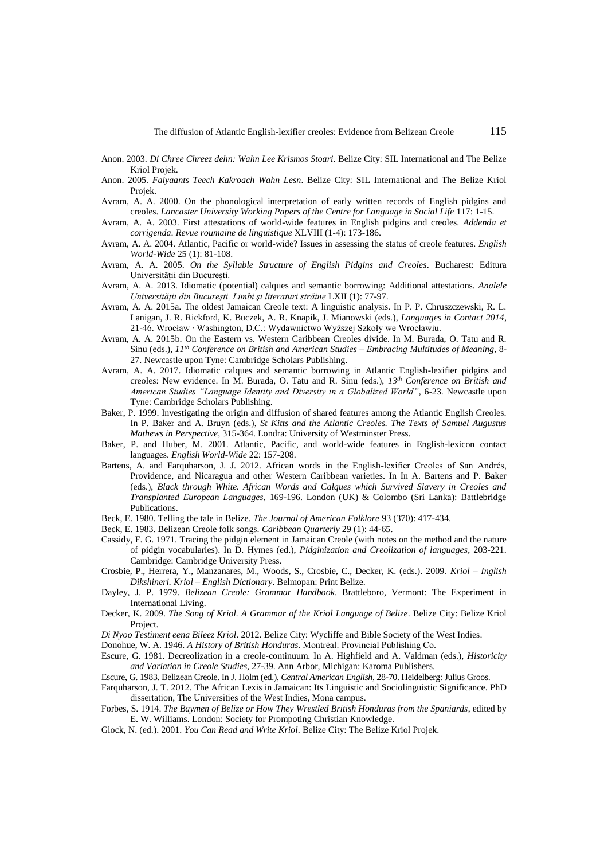- Anon. 2003. *Di Chree Chreez dehn: Wahn Lee Krismos Stoari*. Belize City: SIL International and The Belize Kriol Projek.
- Anon. 2005. *Faiyaants Teech Kakroach Wahn Lesn*. Belize City: SIL International and The Belize Kriol Projek.
- Avram, A. A. 2000. On the phonological interpretation of early written records of English pidgins and creoles. *Lancaster University Working Papers of the Centre for Language in Social Life* 117: 1-15.
- Avram, A. A. 2003. First attestations of world-wide features in English pidgins and creoles. *Addenda et corrigenda*. *Revue roumaine de linguistique* XLVIII (1-4): 173-186.
- Avram, A. A. 2004. Atlantic, Pacific or world-wide? Issues in assessing the status of creole features. *English World-Wide* 25 (1): 81-108.
- Avram, A. A. 2005. *On the Syllable Structure of English Pidgins and Creoles*. Bucharest: Editura Universității din București.
- Avram, A. A. 2013. Idiomatic (potential) calques and semantic borrowing: Additional attestations. *Analele Universităţii din Bucureşti. Limbi şi literaturi străine* LXII (1): 77-97.
- Avram, A. A. 2015a. The oldest Jamaican Creole text: A linguistic analysis. In P. P. Chruszczewski, R. L. Lanigan, J. R. Rickford, K. Buczek, A. R. Knapik, J. Mianowski (eds.), *Languages in Contact 2014*, 21-46. Wrocław ∙ Washington, D.C.: Wydawnictwo Wyższej Szkoły we Wrocławiu.
- Avram, A. A. 2015b. On the Eastern vs. Western Caribbean Creoles divide. In M. Burada, O. Tatu and R. Sinu (eds.), *11th Conference on British and American Studies – Embracing Multitudes of Meaning*, 8- 27. Newcastle upon Tyne: Cambridge Scholars Publishing.
- Avram, A. A. 2017. Idiomatic calques and semantic borrowing in Atlantic English-lexifier pidgins and creoles: New evidence. In M. Burada, O. Tatu and R. Sinu (eds.), *13th Conference on British and American Studies "Language Identity and Diversity in a Globalized World"*, 6-23. Newcastle upon Tyne: Cambridge Scholars Publishing.
- Baker, P. 1999. Investigating the origin and diffusion of shared features among the Atlantic English Creoles. In P. Baker and A. Bruyn (eds.), *St Kitts and the Atlantic Creoles. The Texts of Samuel Augustus Mathews in Perspective*, 315-364. Londra: University of Westminster Press.
- Baker, P. and Huber, M. 2001. Atlantic, Pacific, and world-wide features in English-lexicon contact languages. *English World-Wide* 22: 157-208.
- Bartens, A. and Farquharson, J. J. 2012. African words in the English-lexifier Creoles of San Andrés, Providence, and Nicaragua and other Western Caribbean varieties. In In A. Bartens and P. Baker (eds.), *Black through White. African Words and Calques which Survived Slavery in Creoles and Transplanted European Languages*, 169-196. London (UK) & Colombo (Sri Lanka): Battlebridge Publications.
- Beck, E. 1980. Telling the tale in Belize. *The Journal of American Folklore* 93 (370): 417-434.
- Beck, E. 1983. Belizean Creole folk songs. *Caribbean Quarterly* 29 (1): 44-65.
- Cassidy, F. G. 1971. Tracing the pidgin element in Jamaican Creole (with notes on the method and the nature of pidgin vocabularies). In D. Hymes (ed.), *Pidginization and Creolization of languages*, 203-221. Cambridge: Cambridge University Press.
- Crosbie, P., Herrera, Y., Manzanares, M., Woods, S., Crosbie, C., Decker, K. (eds.). 2009. *Kriol – Inglish Dikshineri. Kriol – English Dictionary*. Belmopan: Print Belize.
- Dayley, J. P. 1979. *Belizean Creole: Grammar Handbook*. Brattleboro, Vermont: The Experiment in International Living.
- Decker, K. 2009. *The Song of Kriol. A Grammar of the Kriol Language of Belize*. Belize City: Belize Kriol Project.
- *Di Nyoo Testiment eena Bileez Kriol*. 2012. Belize City: Wycliffe and Bible Society of the West Indies.
- Donohue, W. A. 1946. *A History of British Honduras*. Montréal: Provincial Publishing Co.
- Escure, G. 1981. Decreolization in a creole-continuum. In A. Highfield and A. Valdman (eds.), *Historicity and Variation in Creole Studies*, 27-39. Ann Arbor, Michigan: Karoma Publishers.
- Escure, G. 1983. Belizean Creole. In J. Holm (ed.), *Central American English*, 28-70. Heidelberg: Julius Groos.
- Farquharson, J. T. 2012. The African Lexis in Jamaican: Its Linguistic and Sociolinguistic Significance. PhD dissertation, The Universities of the West Indies, Mona campus.
- Forbes, S. 1914. *The Baymen of Belize or How They Wrestled British Honduras from the Spaniards*, edited by E. W. Williams. London: Society for Prompoting Christian Knowledge.
- Glock, N. (ed.). 2001. *You Can Read and Write Kriol*. Belize City: The Belize Kriol Projek.